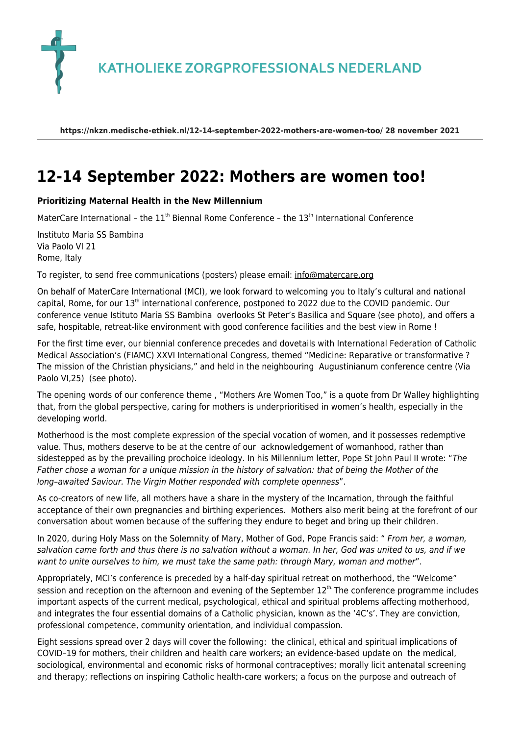**KATHOLIEKE ZORGPROFESSIONALS NEDERLAND** 

**https://nkzn.medische-ethiek.nl/12-14-september-2022-mothers-are-women-too/ 28 november 2021**

## **[12-14 September 2022: Mothers are women too!](https://nkzn.medische-ethiek.nl/12-14-september-2022-mothers-are-women-too/)**

## **Prioritizing Maternal Health in the New Millennium**

MaterCare International – the  $11<sup>th</sup>$  Biennal Rome Conference – the  $13<sup>th</sup>$  International Conference

Instituto Maria SS Bambina Via Paolo VI 21 Rome, Italy

To register, to send free communications (posters) please email: [info@matercare.org](mailto:info@matercare.org)

On behalf of MaterCare International (MCI), we look forward to welcoming you to Italy's cultural and national capital, Rome, for our 13<sup>th</sup> international conference, postponed to 2022 due to the COVID pandemic. Our conference venue Istituto Maria SS Bambina overlooks St Peter's Basilica and Square (see photo), and offers a safe, hospitable, retreat-like environment with good conference facilities and the best view in Rome !

For the first time ever, our biennial conference precedes and dovetails with International Federation of Catholic Medical Association's (FIAMC) XXVI International Congress, themed "Medicine: Reparative or transformative ? The mission of the Christian physicians," and held in the neighbouring Augustinianum conference centre (Via Paolo VI,25) (see photo).

The opening words of our conference theme , "Mothers Are Women Too," is a quote from Dr Walley highlighting that, from the global perspective, caring for mothers is underprioritised in women's health, especially in the developing world.

Motherhood is the most complete expression of the special vocation of women, and it possesses redemptive value. Thus, mothers deserve to be at the centre of our acknowledgement of womanhood, rather than sidestepped as by the prevailing prochoice ideology. In his Millennium letter, Pope St John Paul II wrote: "The Father chose a woman for a unique mission in the history of salvation: that of being the Mother of the long–awaited Saviour. The Virgin Mother responded with complete openness".

As co-creators of new life, all mothers have a share in the mystery of the Incarnation, through the faithful acceptance of their own pregnancies and birthing experiences. Mothers also merit being at the forefront of our conversation about women because of the suffering they endure to beget and bring up their children.

In 2020, during Holy Mass on the Solemnity of Mary, Mother of God, Pope Francis said: " From her, a woman, salvation came forth and thus there is no salvation without a woman. In her, God was united to us, and if we want to unite ourselves to him, we must take the same path: through Mary, woman and mother".

Appropriately, MCI's conference is preceded by a half-day spiritual retreat on motherhood, the "Welcome" session and reception on the afternoon and evening of the September 12<sup>th.</sup> The conference programme includes important aspects of the current medical, psychological, ethical and spiritual problems affecting motherhood, and integrates the four essential domains of a Catholic physician, known as the '4C's'. They are conviction, professional competence, community orientation, and individual compassion.

Eight sessions spread over 2 days will cover the following: the clinical, ethical and spiritual implications of COVID–19 for mothers, their children and health care workers; an evidence-based update on the medical, sociological, environmental and economic risks of hormonal contraceptives; morally licit antenatal screening and therapy; reflections on inspiring Catholic health-care workers; a focus on the purpose and outreach of